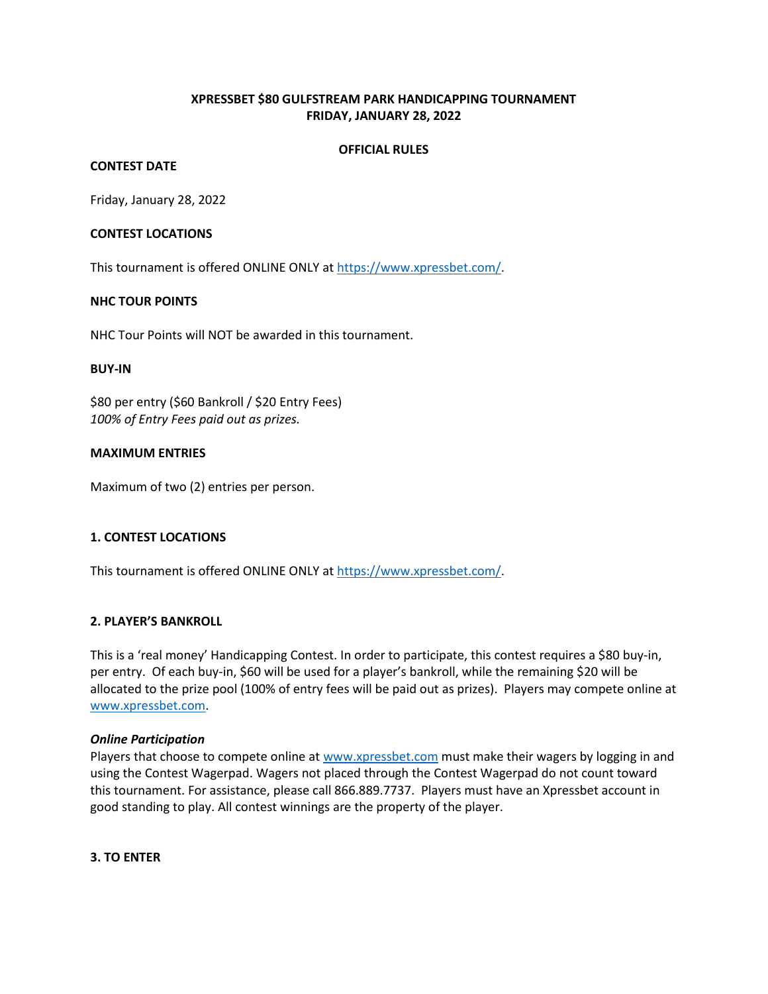# **XPRESSBET \$80 GULFSTREAM PARK HANDICAPPING TOURNAMENT FRIDAY, JANUARY 28, 2022**

#### **OFFICIAL RULES**

## **CONTEST DATE**

Friday, January 28, 2022

#### **CONTEST LOCATIONS**

This tournament is offered ONLINE ONLY a[t https://www.xpressbet.com/.](https://www.xpressbet.com/)

#### **NHC TOUR POINTS**

NHC Tour Points will NOT be awarded in this tournament.

#### **BUY-IN**

\$80 per entry (\$60 Bankroll / \$20 Entry Fees) *100% of Entry Fees paid out as prizes.* 

#### **MAXIMUM ENTRIES**

Maximum of two (2) entries per person.

## **1. CONTEST LOCATIONS**

This tournament is offered ONLINE ONLY a[t https://www.xpressbet.com/.](https://www.xpressbet.com/)

## **2. PLAYER'S BANKROLL**

This is a 'real money' Handicapping Contest. In order to participate, this contest requires a \$80 buy-in, per entry. Of each buy-in, \$60 will be used for a player's bankroll, while the remaining \$20 will be allocated to the prize pool (100% of entry fees will be paid out as prizes). Players may compete online at [www.xpressbet.com.](http://www.xpressbet.com/)

#### *Online Participation*

Players that choose to compete online a[t www.xpressbet.com](http://www.xpressbet.com/) must make their wagers by logging in and using the Contest Wagerpad. Wagers not placed through the Contest Wagerpad do not count toward this tournament. For assistance, please call 866.889.7737. Players must have an Xpressbet account in good standing to play. All contest winnings are the property of the player.

#### **3. TO ENTER**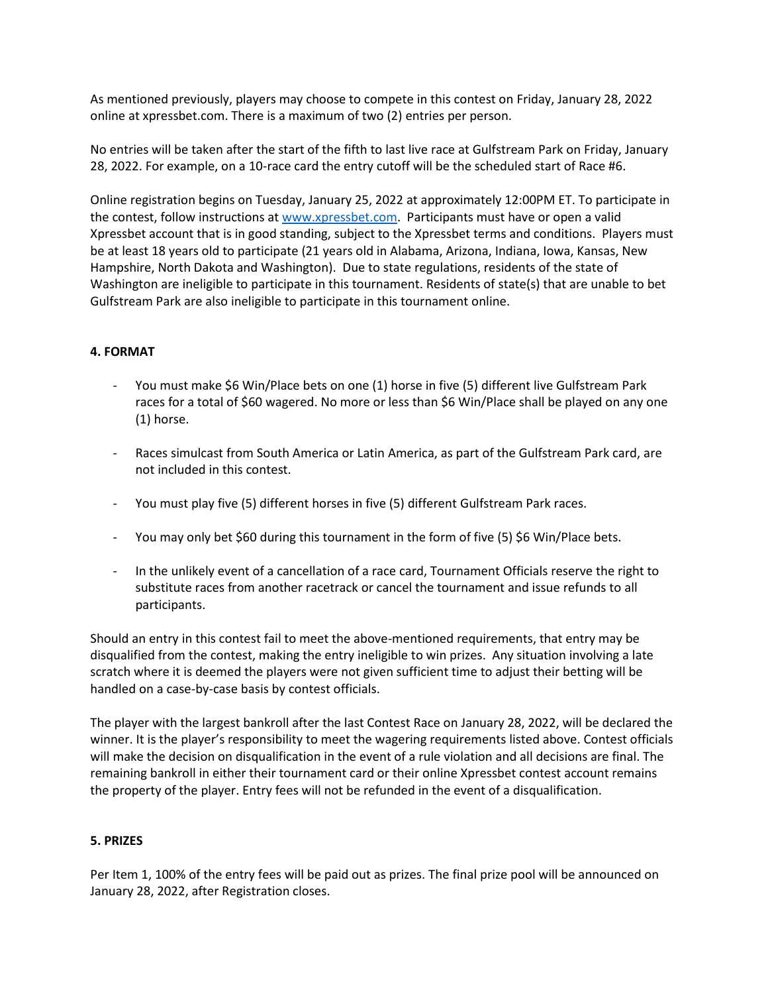As mentioned previously, players may choose to compete in this contest on Friday, January 28, 2022 online at xpressbet.com. There is a maximum of two (2) entries per person.

No entries will be taken after the start of the fifth to last live race at Gulfstream Park on Friday, January 28, 2022. For example, on a 10-race card the entry cutoff will be the scheduled start of Race #6.

Online registration begins on Tuesday, January 25, 2022 at approximately 12:00PM ET. To participate in the contest, follow instructions at [www.xpressbet.com.](http://www.xpressbet.com/) Participants must have or open a valid Xpressbet account that is in good standing, subject to the Xpressbet terms and conditions. Players must be at least 18 years old to participate (21 years old in Alabama, Arizona, Indiana, Iowa, Kansas, New Hampshire, North Dakota and Washington). Due to state regulations, residents of the state of Washington are ineligible to participate in this tournament. Residents of state(s) that are unable to bet Gulfstream Park are also ineligible to participate in this tournament online.

# **4. FORMAT**

- You must make \$6 Win/Place bets on one (1) horse in five (5) different live Gulfstream Park races for a total of \$60 wagered. No more or less than \$6 Win/Place shall be played on any one (1) horse.
- Races simulcast from South America or Latin America, as part of the Gulfstream Park card, are not included in this contest.
- You must play five (5) different horses in five (5) different Gulfstream Park races.
- You may only bet \$60 during this tournament in the form of five (5) \$6 Win/Place bets.
- In the unlikely event of a cancellation of a race card, Tournament Officials reserve the right to substitute races from another racetrack or cancel the tournament and issue refunds to all participants.

Should an entry in this contest fail to meet the above-mentioned requirements, that entry may be disqualified from the contest, making the entry ineligible to win prizes. Any situation involving a late scratch where it is deemed the players were not given sufficient time to adjust their betting will be handled on a case-by-case basis by contest officials.

The player with the largest bankroll after the last Contest Race on January 28, 2022, will be declared the winner. It is the player's responsibility to meet the wagering requirements listed above. Contest officials will make the decision on disqualification in the event of a rule violation and all decisions are final. The remaining bankroll in either their tournament card or their online Xpressbet contest account remains the property of the player. Entry fees will not be refunded in the event of a disqualification.

## **5. PRIZES**

Per Item 1, 100% of the entry fees will be paid out as prizes. The final prize pool will be announced on January 28, 2022, after Registration closes.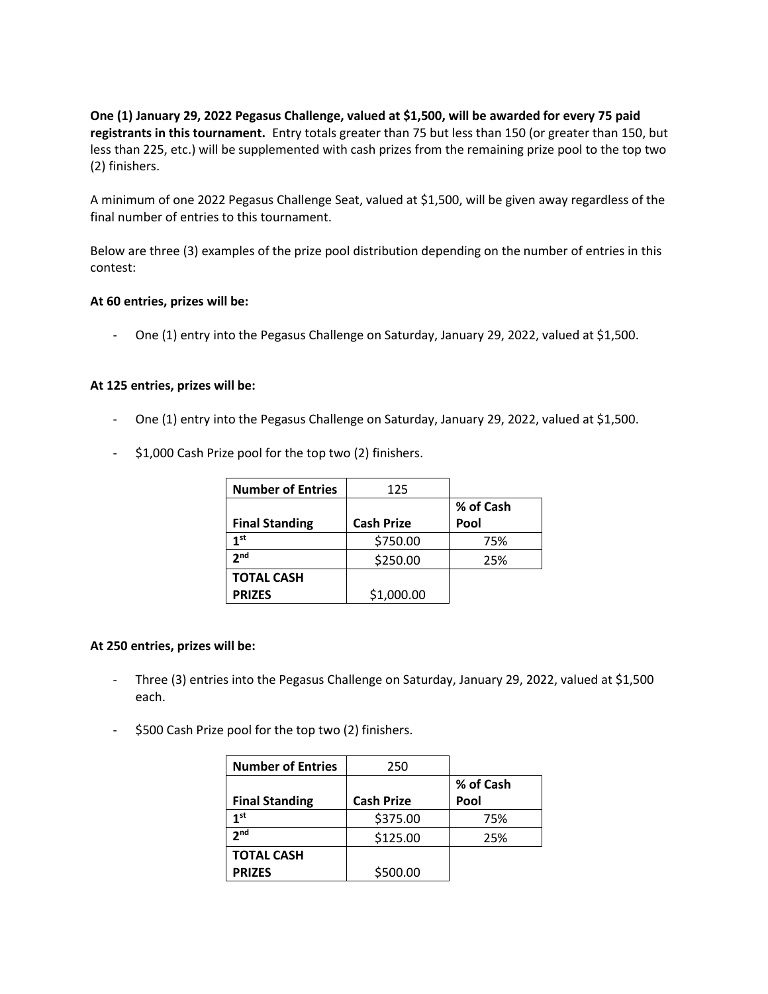**One (1) January 29, 2022 Pegasus Challenge, valued at \$1,500, will be awarded for every 75 paid registrants in this tournament.** Entry totals greater than 75 but less than 150 (or greater than 150, but less than 225, etc.) will be supplemented with cash prizes from the remaining prize pool to the top two (2) finishers.

A minimum of one 2022 Pegasus Challenge Seat, valued at \$1,500, will be given away regardless of the final number of entries to this tournament.

Below are three (3) examples of the prize pool distribution depending on the number of entries in this contest:

#### **At 60 entries, prizes will be:**

- One (1) entry into the Pegasus Challenge on Saturday, January 29, 2022, valued at \$1,500.

#### **At 125 entries, prizes will be:**

- One (1) entry into the Pegasus Challenge on Saturday, January 29, 2022, valued at \$1,500.
- \$1,000 Cash Prize pool for the top two (2) finishers.

| <b>Number of Entries</b> | 125               |           |
|--------------------------|-------------------|-----------|
|                          |                   | % of Cash |
| <b>Final Standing</b>    | <b>Cash Prize</b> | Pool      |
| 1st                      | \$750.00          | 75%       |
| 2 <sub>nd</sub>          | \$250.00          | 25%       |
| <b>TOTAL CASH</b>        |                   |           |
| <b>PRIZES</b>            | \$1,000.00        |           |

#### **At 250 entries, prizes will be:**

- Three (3) entries into the Pegasus Challenge on Saturday, January 29, 2022, valued at \$1,500 each.
- \$500 Cash Prize pool for the top two (2) finishers.

| <b>Number of Entries</b> | 250               |           |
|--------------------------|-------------------|-----------|
|                          |                   | % of Cash |
| <b>Final Standing</b>    | <b>Cash Prize</b> | Pool      |
| 1 <sup>st</sup>          | \$375.00          | 75%       |
| 2 <sub>nd</sub>          | \$125.00          | 25%       |
| <b>TOTAL CASH</b>        |                   |           |
| <b>PRIZES</b>            | \$500.00          |           |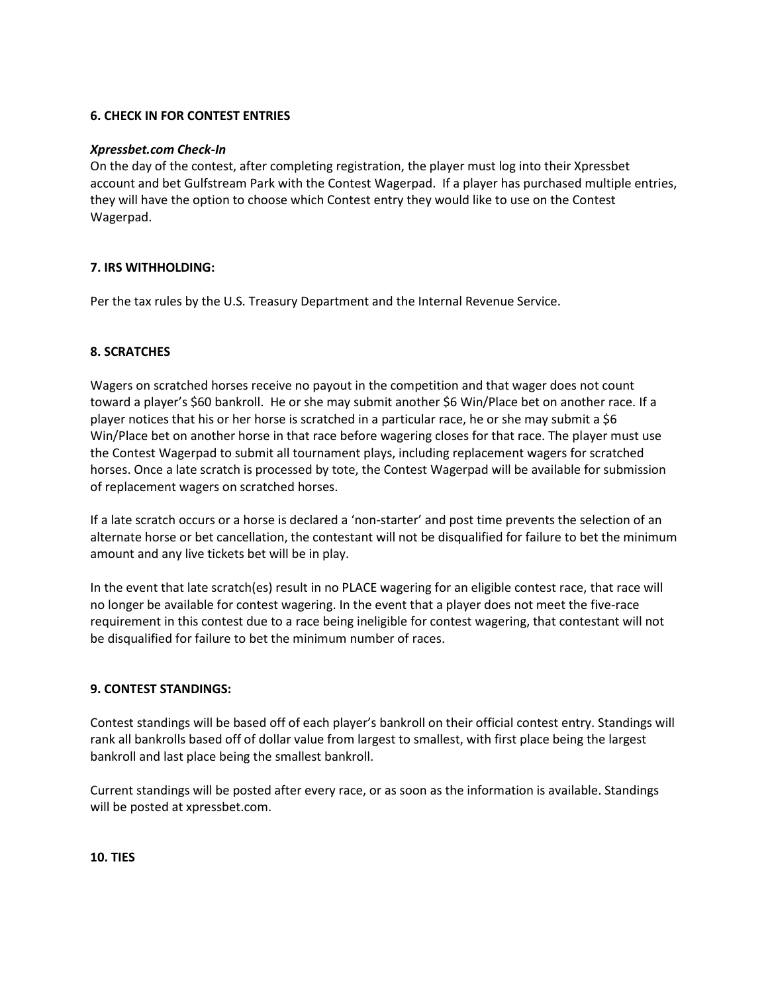## **6. CHECK IN FOR CONTEST ENTRIES**

## *Xpressbet.com Check-In*

On the day of the contest, after completing registration, the player must log into their Xpressbet account and bet Gulfstream Park with the Contest Wagerpad. If a player has purchased multiple entries, they will have the option to choose which Contest entry they would like to use on the Contest Wagerpad.

# **7. IRS WITHHOLDING:**

Per the tax rules by the U.S. Treasury Department and the Internal Revenue Service.

# **8. SCRATCHES**

Wagers on scratched horses receive no payout in the competition and that wager does not count toward a player's \$60 bankroll. He or she may submit another \$6 Win/Place bet on another race. If a player notices that his or her horse is scratched in a particular race, he or she may submit a \$6 Win/Place bet on another horse in that race before wagering closes for that race. The player must use the Contest Wagerpad to submit all tournament plays, including replacement wagers for scratched horses. Once a late scratch is processed by tote, the Contest Wagerpad will be available for submission of replacement wagers on scratched horses.

If a late scratch occurs or a horse is declared a 'non-starter' and post time prevents the selection of an alternate horse or bet cancellation, the contestant will not be disqualified for failure to bet the minimum amount and any live tickets bet will be in play.

In the event that late scratch(es) result in no PLACE wagering for an eligible contest race, that race will no longer be available for contest wagering. In the event that a player does not meet the five-race requirement in this contest due to a race being ineligible for contest wagering, that contestant will not be disqualified for failure to bet the minimum number of races.

## **9. CONTEST STANDINGS:**

Contest standings will be based off of each player's bankroll on their official contest entry. Standings will rank all bankrolls based off of dollar value from largest to smallest, with first place being the largest bankroll and last place being the smallest bankroll.

Current standings will be posted after every race, or as soon as the information is available. Standings will be posted at xpressbet.com.

**10. TIES**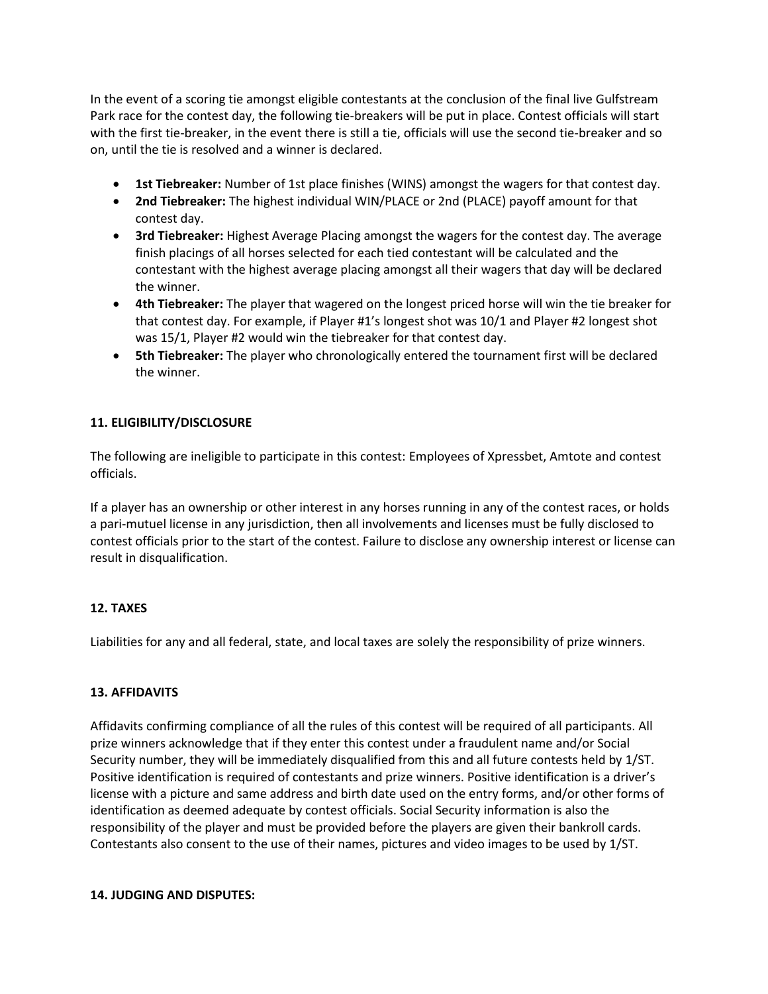In the event of a scoring tie amongst eligible contestants at the conclusion of the final live Gulfstream Park race for the contest day, the following tie-breakers will be put in place. Contest officials will start with the first tie-breaker, in the event there is still a tie, officials will use the second tie-breaker and so on, until the tie is resolved and a winner is declared.

- **1st Tiebreaker:** Number of 1st place finishes (WINS) amongst the wagers for that contest day.
- **2nd Tiebreaker:** The highest individual WIN/PLACE or 2nd (PLACE) payoff amount for that contest day.
- **3rd Tiebreaker:** Highest Average Placing amongst the wagers for the contest day. The average finish placings of all horses selected for each tied contestant will be calculated and the contestant with the highest average placing amongst all their wagers that day will be declared the winner.
- **4th Tiebreaker:** The player that wagered on the longest priced horse will win the tie breaker for that contest day. For example, if Player #1's longest shot was 10/1 and Player #2 longest shot was 15/1, Player #2 would win the tiebreaker for that contest day.
- **5th Tiebreaker:** The player who chronologically entered the tournament first will be declared the winner.

# **11. ELIGIBILITY/DISCLOSURE**

The following are ineligible to participate in this contest: Employees of Xpressbet, Amtote and contest officials.

If a player has an ownership or other interest in any horses running in any of the contest races, or holds a pari-mutuel license in any jurisdiction, then all involvements and licenses must be fully disclosed to contest officials prior to the start of the contest. Failure to disclose any ownership interest or license can result in disqualification.

## **12. TAXES**

Liabilities for any and all federal, state, and local taxes are solely the responsibility of prize winners.

## **13. AFFIDAVITS**

Affidavits confirming compliance of all the rules of this contest will be required of all participants. All prize winners acknowledge that if they enter this contest under a fraudulent name and/or Social Security number, they will be immediately disqualified from this and all future contests held by 1/ST. Positive identification is required of contestants and prize winners. Positive identification is a driver's license with a picture and same address and birth date used on the entry forms, and/or other forms of identification as deemed adequate by contest officials. Social Security information is also the responsibility of the player and must be provided before the players are given their bankroll cards. Contestants also consent to the use of their names, pictures and video images to be used by 1/ST.

#### **14. JUDGING AND DISPUTES:**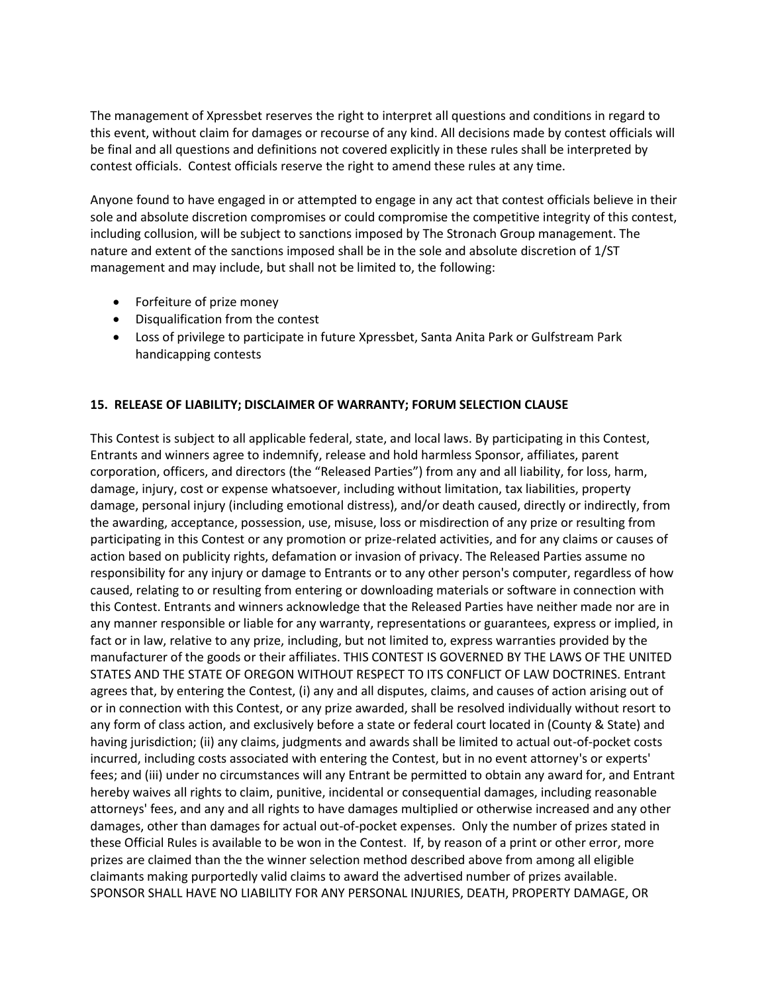The management of Xpressbet reserves the right to interpret all questions and conditions in regard to this event, without claim for damages or recourse of any kind. All decisions made by contest officials will be final and all questions and definitions not covered explicitly in these rules shall be interpreted by contest officials. Contest officials reserve the right to amend these rules at any time.

Anyone found to have engaged in or attempted to engage in any act that contest officials believe in their sole and absolute discretion compromises or could compromise the competitive integrity of this contest, including collusion, will be subject to sanctions imposed by The Stronach Group management. The nature and extent of the sanctions imposed shall be in the sole and absolute discretion of 1/ST management and may include, but shall not be limited to, the following:

- Forfeiture of prize money
- Disqualification from the contest
- Loss of privilege to participate in future Xpressbet, Santa Anita Park or Gulfstream Park handicapping contests

# **15. RELEASE OF LIABILITY; DISCLAIMER OF WARRANTY; FORUM SELECTION CLAUSE**

This Contest is subject to all applicable federal, state, and local laws. By participating in this Contest, Entrants and winners agree to indemnify, release and hold harmless Sponsor, affiliates, parent corporation, officers, and directors (the "Released Parties") from any and all liability, for loss, harm, damage, injury, cost or expense whatsoever, including without limitation, tax liabilities, property damage, personal injury (including emotional distress), and/or death caused, directly or indirectly, from the awarding, acceptance, possession, use, misuse, loss or misdirection of any prize or resulting from participating in this Contest or any promotion or prize-related activities, and for any claims or causes of action based on publicity rights, defamation or invasion of privacy. The Released Parties assume no responsibility for any injury or damage to Entrants or to any other person's computer, regardless of how caused, relating to or resulting from entering or downloading materials or software in connection with this Contest. Entrants and winners acknowledge that the Released Parties have neither made nor are in any manner responsible or liable for any warranty, representations or guarantees, express or implied, in fact or in law, relative to any prize, including, but not limited to, express warranties provided by the manufacturer of the goods or their affiliates. THIS CONTEST IS GOVERNED BY THE LAWS OF THE UNITED STATES AND THE STATE OF OREGON WITHOUT RESPECT TO ITS CONFLICT OF LAW DOCTRINES. Entrant agrees that, by entering the Contest, (i) any and all disputes, claims, and causes of action arising out of or in connection with this Contest, or any prize awarded, shall be resolved individually without resort to any form of class action, and exclusively before a state or federal court located in (County & State) and having jurisdiction; (ii) any claims, judgments and awards shall be limited to actual out-of-pocket costs incurred, including costs associated with entering the Contest, but in no event attorney's or experts' fees; and (iii) under no circumstances will any Entrant be permitted to obtain any award for, and Entrant hereby waives all rights to claim, punitive, incidental or consequential damages, including reasonable attorneys' fees, and any and all rights to have damages multiplied or otherwise increased and any other damages, other than damages for actual out-of-pocket expenses. Only the number of prizes stated in these Official Rules is available to be won in the Contest. If, by reason of a print or other error, more prizes are claimed than the the winner selection method described above from among all eligible claimants making purportedly valid claims to award the advertised number of prizes available. SPONSOR SHALL HAVE NO LIABILITY FOR ANY PERSONAL INJURIES, DEATH, PROPERTY DAMAGE, OR